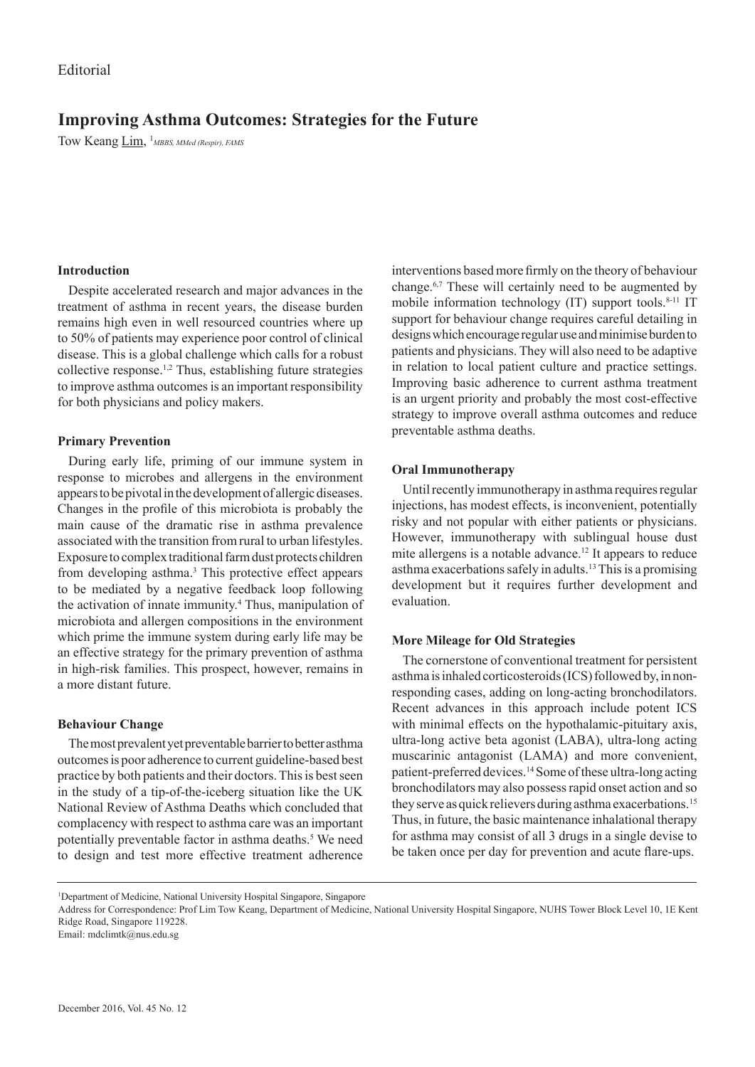# **Improving Asthma Outcomes: Strategies for the Future**

Tow Keang Lim, <sup>1</sup> MBBS, MMed (Respir), FAMS

# **Introduction**

Despite accelerated research and major advances in the treatment of asthma in recent years, the disease burden remains high even in well resourced countries where up to 50% of patients may experience poor control of clinical disease. This is a global challenge which calls for a robust collective response.1,2 Thus, establishing future strategies to improve asthma outcomes is an important responsibility for both physicians and policy makers.

# **Primary Prevention**

During early life, priming of our immune system in response to microbes and allergens in the environment appears to be pivotal in the development of allergic diseases. Changes in the profile of this microbiota is probably the main cause of the dramatic rise in asthma prevalence associated with the transition from rural to urban lifestyles. Exposure to complex traditional farm dust protects children from developing asthma.<sup>3</sup> This protective effect appears to be mediated by a negative feedback loop following the activation of innate immunity.<sup>4</sup> Thus, manipulation of microbiota and allergen compositions in the environment which prime the immune system during early life may be an effective strategy for the primary prevention of asthma in high-risk families. This prospect, however, remains in a more distant future.

## **Behaviour Change**

The most prevalent yet preventable barrier to better asthma outcomes is poor adherence to current guideline-based best practice by both patients and their doctors. This is best seen in the study of a tip-of-the-iceberg situation like the UK National Review of Asthma Deaths which concluded that complacency with respect to asthma care was an important potentially preventable factor in asthma deaths.<sup>5</sup> We need to design and test more effective treatment adherence

interventions based more firmly on the theory of behaviour change.6,7 These will certainly need to be augmented by mobile information technology  $(IT)$  support tools.<sup>8-11</sup> IT support for behaviour change requires careful detailing in designs which encourage regular use and minimise burden to patients and physicians. They will also need to be adaptive in relation to local patient culture and practice settings. Improving basic adherence to current asthma treatment is an urgent priority and probably the most cost-effective strategy to improve overall asthma outcomes and reduce preventable asthma deaths.

# **Oral Immunotherapy**

Until recently immunotherapy in asthma requires regular injections, has modest effects, is inconvenient, potentially risky and not popular with either patients or physicians. However, immunotherapy with sublingual house dust mite allergens is a notable advance.12 It appears to reduce asthma exacerbations safely in adults.13 This is a promising development but it requires further development and evaluation.

## **More Mileage for Old Strategies**

The cornerstone of conventional treatment for persistent asthma is inhaled corticosteroids (ICS) followed by, in nonresponding cases, adding on long-acting bronchodilators. Recent advances in this approach include potent ICS with minimal effects on the hypothalamic-pituitary axis, ultra-long active beta agonist (LABA), ultra-long acting muscarinic antagonist (LAMA) and more convenient, patient-preferred devices.14 Some of these ultra-long acting bronchodilators may also possess rapid onset action and so they serve as quick relievers during asthma exacerbations.<sup>15</sup> Thus, in future, the basic maintenance inhalational therapy for asthma may consist of all 3 drugs in a single devise to be taken once per day for prevention and acute flare-ups.

<sup>1</sup> Department of Medicine, National University Hospital Singapore, Singapore

Address for Correspondence: Prof Lim Tow Keang, Department of Medicine, National University Hospital Singapore, NUHS Tower Block Level 10, 1E Kent Ridge Road, Singapore 119228.

Email: mdclimtk@nus.edu.sg